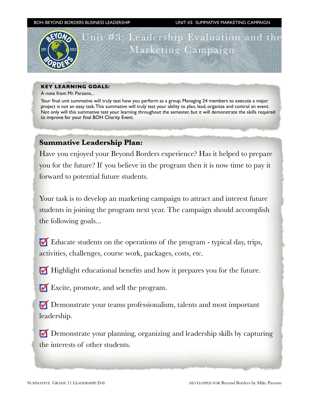BOH: BEYOND BORDERS BUSINESS LEADERSHIP UNIT #3: SUMMATIVE MARKETING CAMPAIGN



## **KEY LEARNING GOALS:**

A note from Mr. Parsons...

Your final unit summative will truly test how you perform as a group. Managing 24 members to execute a major project is not an easy task. This summative will truly test your ability to plan, lead, organize and control an event. Not only will this summative test your learning throughout the semester, but it will demonstrate the skills required to improve for your final BOH Charity Event.

# **Summative Leadership Plan:**

Have you enjoyed your Beyond Borders experience? Has it helped to prepare you for the future? If you believe in the program then it is now time to pay it forward to potential future students.

Your task is to develop an marketing campaign to attract and interest future students in joining the program next year. The campaign should accomplish the following goals...

Educate students on the operations of the program - typical day, trips, activities, challenges, course work, packages, costs, etc.

Highlight educational benefits and how it prepares you for the future.

Excite, promote, and sell the program.

Demonstrate your teams professionalism, talents and most important leadership.

Demonstrate your planning, organizing and leadership skills by capturing the interests of other students.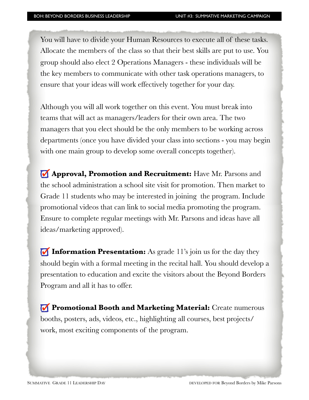You will have to divide your Human Resources to execute all of these tasks. Allocate the members of the class so that their best skills are put to use. You group should also elect 2 Operations Managers - these individuals will be the key members to communicate with other task operations managers, to ensure that your ideas will work effectively together for your day.

Although you will all work together on this event. You must break into teams that will act as managers/leaders for their own area. The two managers that you elect should be the only members to be working across departments (once you have divided your class into sections - you may begin with one main group to develop some overall concepts together).

**Approval, Promotion and Recruitment:** Have Mr. Parsons and the school administration a school site visit for promotion. Then market to Grade 11 students who may be interested in joining the program. Include promotional videos that can link to social media promoting the program. Ensure to complete regular meetings with Mr. Parsons and ideas have all ideas/marketing approved).

**Information Presentation:** As grade 11's join us for the day they should begin with a formal meeting in the recital hall. You should develop a presentation to education and excite the visitors about the Beyond Borders Program and all it has to offer.

 **Promotional Booth and Marketing Material:** Create numerous booths, posters, ads, videos, etc., highlighting all courses, best projects/ work, most exciting components of the program.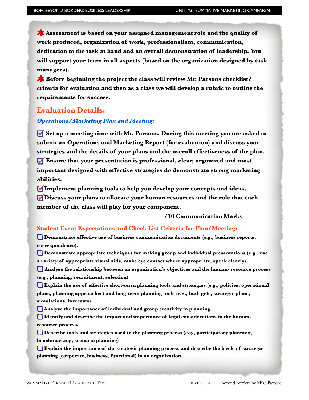**Assessment is based on your assigned management role and the quality of work produced, organization of work, professionalism, communication, dedication to the task at hand and an overall demonstration of leadership. You will support your team in all aspects (based on the organization designed by task managers).** 

**EX** Before beginning the project the class will review Mr. Parsons checklist/ **criteria for evaluation and then as a class we will develop a rubric to outline the requirements for success.** 

## **Evaluation Details:**

## *Operations/Marketing Plan and Meeting:*

 **Set up a meeting time with Mr. Parsons. During this meeting you are asked to submit an Operations and Marketing Report (for evaluation) and discuss your strategies and the details of your plans and the overall effectiveness of the plan. Ensure that your presentation is professional, clear, organized and most important designed with effective strategies do demonstrate strong marketing abilities.** 

**Implement planning tools to help you develop your concepts and ideas. Discuss your plans to allocate your human resources and the role that each member of the class will play for your component.** 

## **/10 Communication Marks**

#### **Student Event Expectations and Check List Criteria for Plan/Meeting:**

 **Demonstrate effective use of business communication documents (e.g., business reports, correspondence).** 

 $\Box$  Demonstrate appropriate techniques for making group and individual presentations (e.g., use **a variety of appropriate visual aids, make eye contact where appropriate, speak clearly).** 

**Analyse the relationship between an organization's objectives and the human- resource process (e.g., planning, recruitment, selection).** 

**Explain the use of effective short-term planning tools and strategies (e.g., policies, operational plans, planning approaches) and long-term planning tools (e.g., bud- gets, strategic plans, simulations, forecasts).** 

**Analyse the importance of individual and group creativity in planning.** 

**Identify and describe the impact and importance of legal considerations in the humanresource process.** 

 $\Box$  Describe tools and strategies used in the planning process (e.g., participatory planning, **benchmarking, scenario planning)** 

**Explain the importance of the strategic planning process and describe the levels of strategic planning (corporate, business, functional) in an organization.**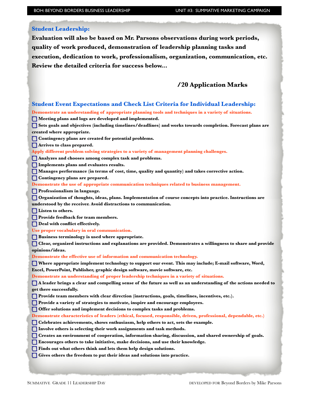## **Student Leadership:**

í

**Evaluation will also be based on Mr. Parsons observations during work periods, quality of work produced, demonstration of leadership planning tasks and execution, dedication to work, professionalism, organization, communication, etc. Review the detailed criteria for success below...** 

## **/20 Application Marks**

| <b>Student Event Expectations and Check List Criteria for Individual Leadership:</b>                              |
|-------------------------------------------------------------------------------------------------------------------|
| Demonstrate an understanding of appropriate planning tools and techniques in a variety of situations.             |
| Meeting plans and logs are developed and implemented.                                                             |
| Sets goals and objectives (including timelines/deadlines) and works towards completion. Forecast plans are        |
| created where appropriate.                                                                                        |
| Contingency plans are created for potential problems.                                                             |
| Arrives to class prepared.                                                                                        |
| Apply different problem solving strategies to a variety of management planning challenges.                        |
| Analyzes and chooses among complex task and problems.                                                             |
| Implements plans and evaluates results.                                                                           |
| Manages performance (in terms of cost, time, quality and quantity) and takes corrective action.                   |
| Contingency plans are prepared.                                                                                   |
| Demonstrate the use of appropriate communication techniques related to business management.                       |
| Professionalism in language.                                                                                      |
| Organization of thoughts, ideas, plans. Implementation of course concepts into practice. Instructions are         |
| understood by the receiver. Avoid distractions to communication.                                                  |
| <b>Listen to others.</b>                                                                                          |
| Provide feedback for team members.                                                                                |
| Deal with conflict effectively.                                                                                   |
| Use proper vocabulary in oral communication.                                                                      |
| Business terminology is used where appropriate.                                                                   |
| O<br>Clear, organized instructions and explanations are provided. Demonstrates a willingness to share and provide |
| opinions/ideas.                                                                                                   |
| Demonstrate the effective use of information and communication technology.                                        |
| Where appropriate implement technology to support our event. This may include; E-mail software, Word,             |
| Excel, PowerPoint, Publisher, graphic design software, movie software, etc.                                       |
| Demonstrate an understanding of proper leadership techniques in a variety of situations.                          |
| A leader brings a clear and compelling sense of the future as well as an understanding of the actions needed to   |
| get there successfully.                                                                                           |
| Provide team members with clear direction (instructions, goals, timelines, incentives, etc.).                     |
| Provide a variety of strategies to motivate, inspire and encourage employees.                                     |
| Offer solutions and implement decisions to complex tasks and problems.                                            |
| Demonstrate characteristics of leaders (ethical, focused, responsible, driven, professional, dependable, etc.)    |
| <b>Celebrates achievements, shows enthusiasm, help others to act, sets the example.</b>                           |
| I Involve others is selecting their work assignments and task methods.                                            |
| Creates an environment of cooperation, information sharing, discussion, and shared ownership of goals.            |
| Encourages others to take initiative, make decisions, and use their knowledge.                                    |
| Finds out what others think and lets them help design solutions.                                                  |
| Gives others the freedom to put their ideas and solutions into practice.                                          |
|                                                                                                                   |
|                                                                                                                   |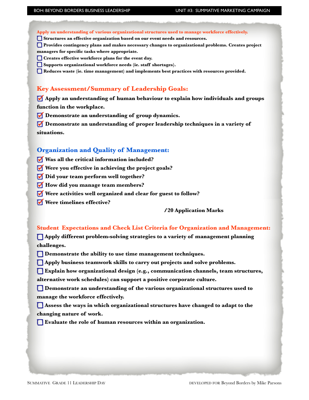**Apply an understanding of various organizational structures used to manage workforce effectively. Structures an effective organization based on our event needs and resources.** 

**Provides contingency plans and makes necessary changes to organizational problems. Creates project** 

- **managers for specific tasks where appropriate.**
- **Creates effective workforce plans for the event day.**
- **C** Supports organizational workforce needs (ie. staff shortages).
- **Reduces waste (ie. time management) and implements best practices with resources provided.**

## **Key Assessment/Summary of Leadership Goals:**

 **Apply an understanding of human behaviour to explain how individuals and groups function in the workplace.** 

 **Demonstrate an understanding of group dynamics.** 

 **Demonstrate an understanding of proper leadership techniques in a variety of situations.** 

## **Organization and Quality of Management:**

- **Was all the critical information included?**
- **Were you effective in achieving the project goals?**
- **Did your team perform well together?**
- *M* How did you manage team members?
- **Were activities well organized and clear for guest to follow?**
- *<u>V* Were timelines effective?</u>

#### **/20 Application Marks**

## **Student Expectations and Check List Criteria for Organization and Management:**

 **Apply different problem-solving strategies to a variety of management planning challenges.** 

 $\Box$  Demonstrate the ability to use time management techniques.

 **Apply business teamwork skills to carry out projects and solve problems.** 

**Explain how organizational design (e.g., communication channels, team structures,** 

**alternative work schedules) can support a positive corporate culture.** 

**EXECUTE:** Demonstrate an understanding of the various organizational structures used to **manage the workforce effectively.** 

 **Assess the ways in which organizational structures have changed to adapt to the changing nature of work.** 

**Evaluate the role of human resources within an organization.**